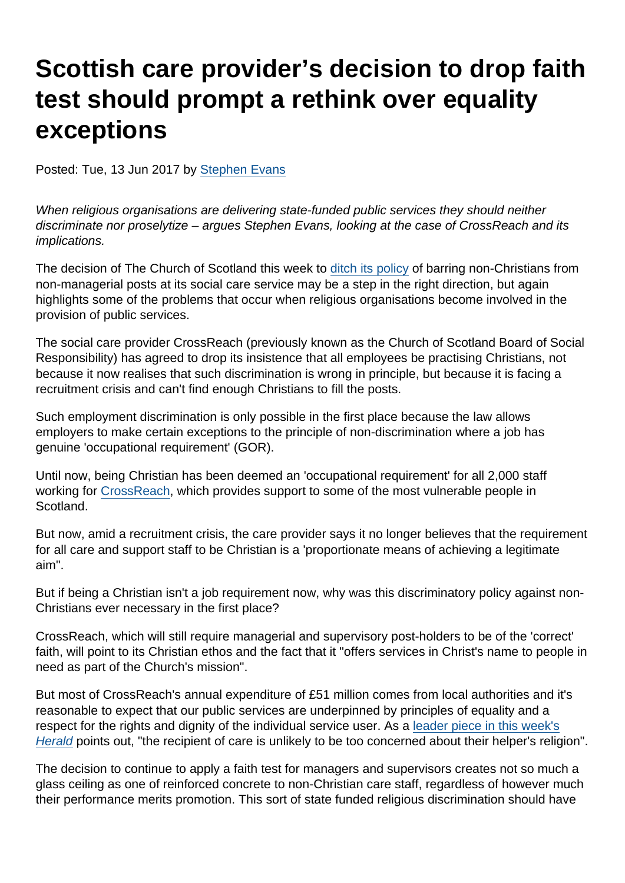# Scottish care provider's decision to drop faith test should prompt a rethink over equality exceptions

Posted: Tue, 13 Jun 2017 by [Stephen Evans](https://www.secularism.org.uk/opinion/authors/845)

When religious organisations are delivering state-funded public services they should neither discriminate nor proselytize – argues Stephen Evans, looking at the case of CrossReach and its implications.

The decision of The Church of Scotland this week to [ditch its policy](http://www.heraldscotland.com/news/15343468.Church_to_drop_requirement_for_care_workers_to_be_Christian_amid_recruitment_crisis/) of barring non-Christians from non-managerial posts at its social care service may be a step in the right direction, but again highlights some of the problems that occur when religious organisations become involved in the provision of public services.

The social care provider CrossReach (previously known as the Church of Scotland Board of Social Responsibility) has agreed to drop its insistence that all employees be practising Christians, not because it now realises that such discrimination is wrong in principle, but because it is facing a recruitment crisis and can't find enough Christians to fill the posts.

Such employment discrimination is only possible in the first place because the law allows employers to make certain exceptions to the principle of non-discrimination where a job has genuine 'occupational requirement' (GOR).

Until now, being Christian has been deemed an 'occupational requirement' for all 2,000 staff working for [CrossReach](http://www.crossreach.org.uk/our-services), which provides support to some of the most vulnerable people in Scotland.

But now, amid a recruitment crisis, the care provider says it no longer believes that the requirement for all care and support staff to be Christian is a 'proportionate means of achieving a legitimate aim".

But if being a Christian isn't a job requirement now, why was this discriminatory policy against non-Christians ever necessary in the first place?

CrossReach, which will still require managerial and supervisory post-holders to be of the 'correct' faith, will point to its Christian ethos and the fact that it "offers services in Christ's name to people in need as part of the Church's mission".

But most of CrossReach's annual expenditure of £51 million comes from local authorities and it's reasonable to expect that our public services are underpinned by principles of equality and a respect for the rights and dignity of the individual service user. As a [leader piece in this week's](http://www.heraldscotland.com/opinion/15343466.Kirk_move_on_religion_of_social_care_staff_is_sensible/) [Herald](http://www.heraldscotland.com/opinion/15343466.Kirk_move_on_religion_of_social_care_staff_is_sensible/) points out, "the recipient of care is unlikely to be too concerned about their helper's religion".

The decision to continue to apply a faith test for managers and supervisors creates not so much a glass ceiling as one of reinforced concrete to non-Christian care staff, regardless of however much their performance merits promotion. This sort of state funded religious discrimination should have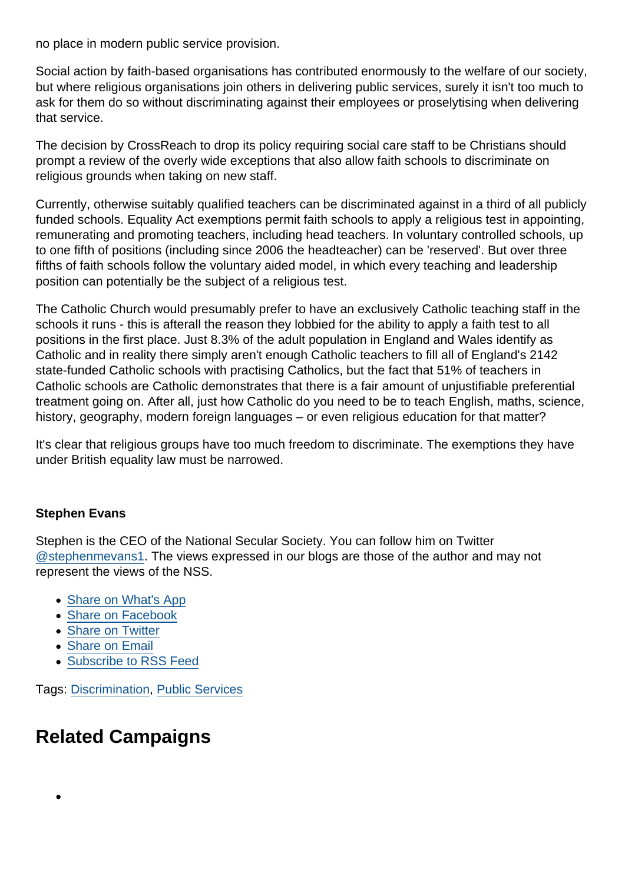no place in modern public service provision.

Social action by faith-based organisations has contributed enormously to the welfare of our society, but where religious organisations join others in delivering public services, surely it isn't too much to ask for them do so without discriminating against their employees or proselytising when delivering that service.

The decision by CrossReach to drop its policy requiring social care staff to be Christians should prompt a review of the overly wide exceptions that also allow faith schools to discriminate on religious grounds when taking on new staff.

Currently, otherwise suitably qualified teachers can be discriminated against in a third of all publicly funded schools. Equality Act exemptions permit faith schools to apply a religious test in appointing, remunerating and promoting teachers, including head teachers. In voluntary controlled schools, up to one fifth of positions (including since 2006 the headteacher) can be 'reserved'. But over three fifths of faith schools follow the voluntary aided model, in which every teaching and leadership position can potentially be the subject of a religious test.

The Catholic Church would presumably prefer to have an exclusively Catholic teaching staff in the schools it runs - this is afterall the reason they lobbied for the ability to apply a faith test to all positions in the first place. Just 8.3% of the adult population in England and Wales identify as Catholic and in reality there simply aren't enough Catholic teachers to fill all of England's 2142 state-funded Catholic schools with practising Catholics, but the fact that 51% of teachers in Catholic schools are Catholic demonstrates that there is a fair amount of unjustifiable preferential treatment going on. After all, just how Catholic do you need to be to teach English, maths, science, history, geography, modern foreign languages – or even religious education for that matter?

It's clear that religious groups have too much freedom to discriminate. The exemptions they have under British equality law must be narrowed.

#### Stephen Evans

Stephen is the CEO of the National Secular Society. You can follow him on Twitter [@stephenmevans1.](https://twitter.com/stephenmevans1?lang=en-gb) The views expressed in our blogs are those of the author and may not represent the views of the NSS.

- [Share on What's App](whatsapp://send?text=http://www.secularism.org.uk/opinion/2017/06/scottish-care-providers-decision-to-drop-faith-test-should-prompt-rethink-over-equality-exceptions?format=pdf)
- [Share on Facebook](https://www.facebook.com/sharer/sharer.php?u=http://www.secularism.org.uk/opinion/2017/06/scottish-care-providers-decision-to-drop-faith-test-should-prompt-rethink-over-equality-exceptions?format=pdf&t=Scottish+care+provider’s+decision+to+drop+faith+test+should+prompt+a+rethink+over+equality+exceptions)
- [Share on Twitter](https://twitter.com/intent/tweet?url=http://www.secularism.org.uk/opinion/2017/06/scottish-care-providers-decision-to-drop-faith-test-should-prompt-rethink-over-equality-exceptions?format=pdf&text=Scottish+care+provider’s+decision+to+drop+faith+test+should+prompt+a+rethink+over+equality+exceptions&via=NatSecSoc)
- [Share on Email](https://www.secularism.org.uk/share.html?url=http://www.secularism.org.uk/opinion/2017/06/scottish-care-providers-decision-to-drop-faith-test-should-prompt-rethink-over-equality-exceptions?format=pdf&title=Scottish+care+provider’s+decision+to+drop+faith+test+should+prompt+a+rethink+over+equality+exceptions)
- [Subscribe to RSS Feed](/mnt/web-data/www/cp-nss/feeds/rss/news)

Tags: [Discrimination,](https://www.secularism.org.uk/opinion/tags/Discrimination) [Public Services](https://www.secularism.org.uk/opinion/tags/Public+Services)

# Related Campaigns

 $\bullet$